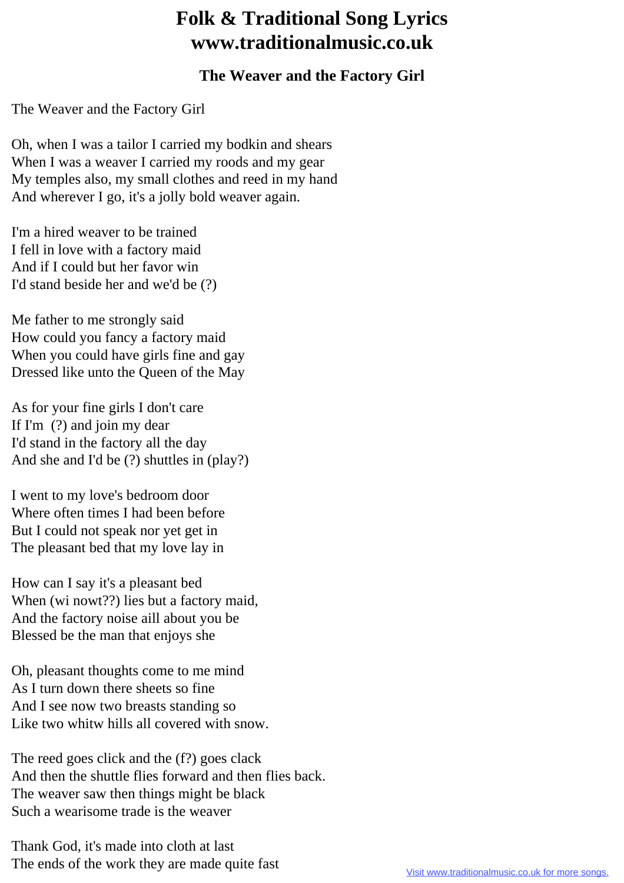## **Folk & Traditional Song Lyrics www.traditionalmusic.co.uk**

## **The Weaver and the Factory Girl**

The Weaver and the Factory Girl

Oh, when I was a tailor I carried my bodkin and shears When I was a weaver I carried my roods and my gear My temples also, my small clothes and reed in my hand And wherever I go, it's a jolly bold weaver again.

I'm a hired weaver to be trained I fell in love with a factory maid And if I could but her favor win I'd stand beside her and we'd be (?)

Me father to me strongly said How could you fancy a factory maid When you could have girls fine and gay Dressed like unto the Queen of the May

As for your fine girls I don't care If I'm (?) and join my dear I'd stand in the factory all the day And she and I'd be (?) shuttles in (play?)

I went to my love's bedroom door Where often times I had been before But I could not speak nor yet get in The pleasant bed that my love lay in

How can I say it's a pleasant bed When (wi nowt??) lies but a factory maid, And the factory noise aill about you be Blessed be the man that enjoys she

Oh, pleasant thoughts come to me mind As I turn down there sheets so fine And I see now two breasts standing so Like two whitw hills all covered with snow.

The reed goes click and the (f?) goes clack And then the shuttle flies forward and then flies back. The weaver saw then things might be black Such a wearisome trade is the weaver

Thank God, it's made into cloth at last The ends of the work they are made quite fast